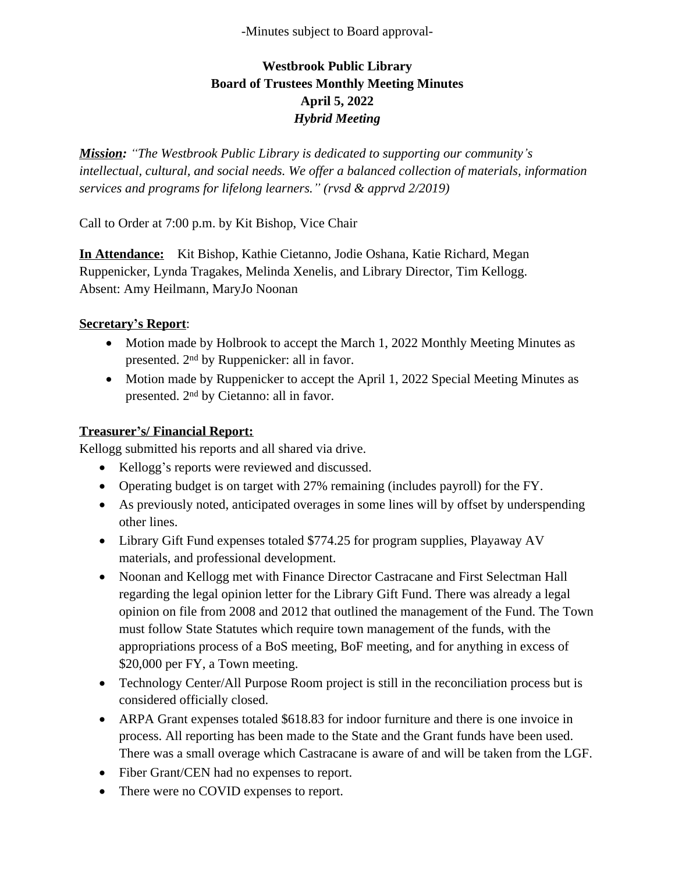-Minutes subject to Board approval-

# **Westbrook Public Library Board of Trustees Monthly Meeting Minutes April 5, 2022** *Hybrid Meeting*

*Mission: "The Westbrook Public Library is dedicated to supporting our community's intellectual, cultural, and social needs. We offer a balanced collection of materials, information services and programs for lifelong learners." (rvsd & apprvd 2/2019)*

Call to Order at 7:00 p.m. by Kit Bishop, Vice Chair

**In Attendance:** Kit Bishop, Kathie Cietanno, Jodie Oshana, Katie Richard, Megan Ruppenicker, Lynda Tragakes, Melinda Xenelis, and Library Director, Tim Kellogg. Absent: Amy Heilmann, MaryJo Noonan

### **Secretary's Report**:

- Motion made by Holbrook to accept the March 1, 2022 Monthly Meeting Minutes as presented. 2nd by Ruppenicker: all in favor.
- Motion made by Ruppenicker to accept the April 1, 2022 Special Meeting Minutes as presented. 2nd by Cietanno: all in favor.

#### **Treasurer's/ Financial Report:**

Kellogg submitted his reports and all shared via drive.

- Kellogg's reports were reviewed and discussed.
- Operating budget is on target with 27% remaining (includes payroll) for the FY.
- As previously noted, anticipated overages in some lines will by offset by underspending other lines.
- Library Gift Fund expenses totaled \$774.25 for program supplies, Playaway AV materials, and professional development.
- Noonan and Kellogg met with Finance Director Castracane and First Selectman Hall regarding the legal opinion letter for the Library Gift Fund. There was already a legal opinion on file from 2008 and 2012 that outlined the management of the Fund. The Town must follow State Statutes which require town management of the funds, with the appropriations process of a BoS meeting, BoF meeting, and for anything in excess of \$20,000 per FY, a Town meeting.
- Technology Center/All Purpose Room project is still in the reconciliation process but is considered officially closed.
- ARPA Grant expenses totaled \$618.83 for indoor furniture and there is one invoice in process. All reporting has been made to the State and the Grant funds have been used. There was a small overage which Castracane is aware of and will be taken from the LGF.
- Fiber Grant/CEN had no expenses to report.
- There were no COVID expenses to report.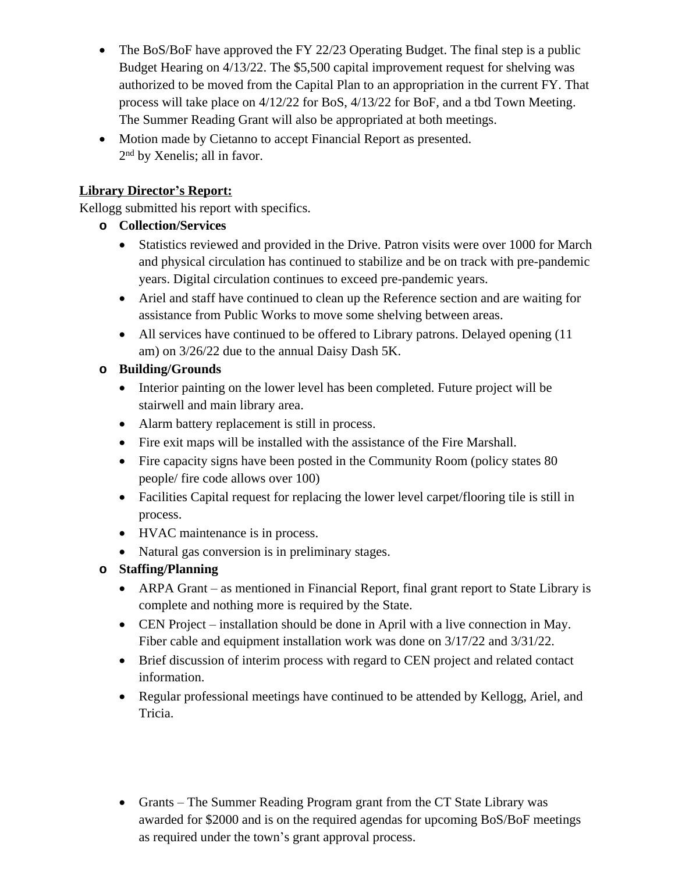- The BoS/BoF have approved the FY 22/23 Operating Budget. The final step is a public Budget Hearing on 4/13/22. The \$5,500 capital improvement request for shelving was authorized to be moved from the Capital Plan to an appropriation in the current FY. That process will take place on 4/12/22 for BoS, 4/13/22 for BoF, and a tbd Town Meeting. The Summer Reading Grant will also be appropriated at both meetings.
- Motion made by Cietanno to accept Financial Report as presented. 2 nd by Xenelis; all in favor.

### **Library Director's Report:**

Kellogg submitted his report with specifics.

- **o Collection/Services**
	- Statistics reviewed and provided in the Drive. Patron visits were over 1000 for March and physical circulation has continued to stabilize and be on track with pre-pandemic years. Digital circulation continues to exceed pre-pandemic years.
	- Ariel and staff have continued to clean up the Reference section and are waiting for assistance from Public Works to move some shelving between areas.
	- All services have continued to be offered to Library patrons. Delayed opening (11) am) on 3/26/22 due to the annual Daisy Dash 5K.

## **o Building/Grounds**

- Interior painting on the lower level has been completed. Future project will be stairwell and main library area.
- Alarm battery replacement is still in process.
- Fire exit maps will be installed with the assistance of the Fire Marshall.
- Fire capacity signs have been posted in the Community Room (policy states 80) people/ fire code allows over 100)
- Facilities Capital request for replacing the lower level carpet/flooring tile is still in process.
- HVAC maintenance is in process.
- Natural gas conversion is in preliminary stages.

## **o Staffing/Planning**

- ARPA Grant as mentioned in Financial Report, final grant report to State Library is complete and nothing more is required by the State.
- CEN Project installation should be done in April with a live connection in May. Fiber cable and equipment installation work was done on 3/17/22 and 3/31/22.
- Brief discussion of interim process with regard to CEN project and related contact information.
- Regular professional meetings have continued to be attended by Kellogg, Ariel, and Tricia.
- Grants The Summer Reading Program grant from the CT State Library was awarded for \$2000 and is on the required agendas for upcoming BoS/BoF meetings as required under the town's grant approval process.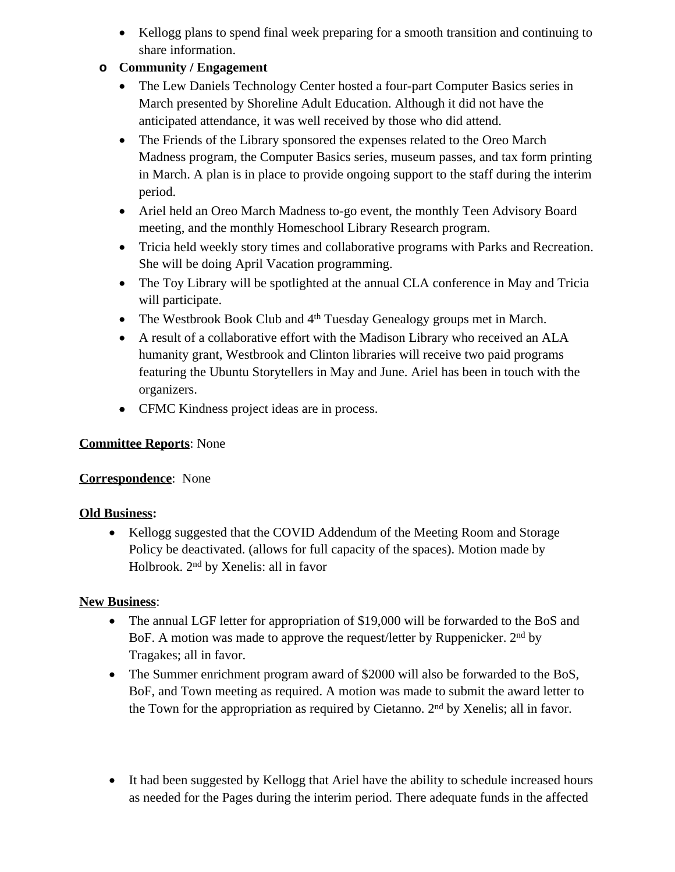• Kellogg plans to spend final week preparing for a smooth transition and continuing to share information.

### **o Community / Engagement**

- The Lew Daniels Technology Center hosted a four-part Computer Basics series in March presented by Shoreline Adult Education. Although it did not have the anticipated attendance, it was well received by those who did attend.
- The Friends of the Library sponsored the expenses related to the Oreo March Madness program, the Computer Basics series, museum passes, and tax form printing in March. A plan is in place to provide ongoing support to the staff during the interim period.
- Ariel held an Oreo March Madness to-go event, the monthly Teen Advisory Board meeting, and the monthly Homeschool Library Research program.
- Tricia held weekly story times and collaborative programs with Parks and Recreation. She will be doing April Vacation programming.
- The Toy Library will be spotlighted at the annual CLA conference in May and Tricia will participate.
- The Westbrook Book Club and 4<sup>th</sup> Tuesday Genealogy groups met in March.
- A result of a collaborative effort with the Madison Library who received an ALA humanity grant, Westbrook and Clinton libraries will receive two paid programs featuring the Ubuntu Storytellers in May and June. Ariel has been in touch with the organizers.
- CFMC Kindness project ideas are in process.

# **Committee Reports**: None

## **Correspondence**: None

## **Old Business:**

• Kellogg suggested that the COVID Addendum of the Meeting Room and Storage Policy be deactivated. (allows for full capacity of the spaces). Motion made by Holbrook. 2nd by Xenelis: all in favor

## **New Business**:

- The annual LGF letter for appropriation of \$19,000 will be forwarded to the BoS and BoF. A motion was made to approve the request/letter by Ruppenicker. 2<sup>nd</sup> by Tragakes; all in favor.
- The Summer enrichment program award of \$2000 will also be forwarded to the BoS, BoF, and Town meeting as required. A motion was made to submit the award letter to the Town for the appropriation as required by Cietanno. 2nd by Xenelis; all in favor.
- It had been suggested by Kellogg that Ariel have the ability to schedule increased hours as needed for the Pages during the interim period. There adequate funds in the affected